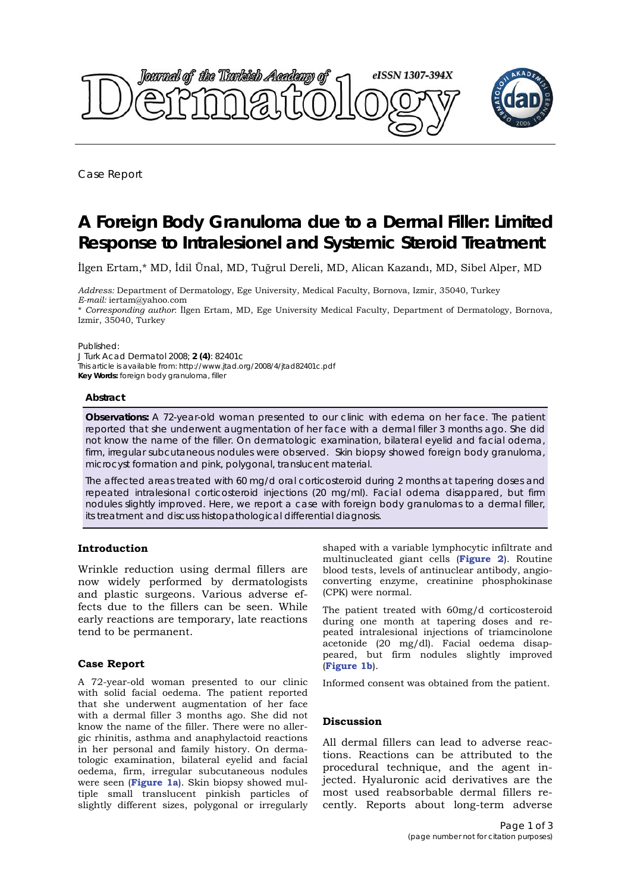

Case Report

# **A Foreign Body Granuloma due to a Dermal Filler: Limited Response to Intralesionel and Systemic Steroid Treatment**

İlgen Ertam,\* MD, İdil Ünal, MD, Tuğrul Dereli, MD, Alican Kazandı, MD, Sibel Alper, MD

*Address:* Department of Dermatology, Ege University, Medical Faculty, Bornova, Izmir, 35040, Turkey *E-mail:* iertam@yahoo.com

\* *Corresponding author*: İlgen Ertam, MD, Ege University Medical Faculty, Department of Dermatology, Bornova, Izmir, 35040, Turkey

#### Published:

*J Turk Acad Dermatol* 2008; **2 (4)**: 82401c This article is available from: http://www.jtad.org/2008/4/jtad82401c.pdf **Key Words:** foreign body granuloma, filler

#### **Abstract**

**Observations:** A 72-year-old woman presented to our clinic with edema on her face. The patient reported that she underwent augmentation of her face with a dermal filler 3 months ago. She did not know the name of the filler. On dermatologic examination, bilateral eyelid and facial odema, firm, irregular subcutaneous nodules were observed. Skin biopsy showed foreign body granuloma, microcyst formation and pink, polygonal, translucent material.

The affected areas treated with 60 mg/d oral corticosteroid during 2 months at tapering doses and repeated intralesional corticosteroid injections (20 mg/ml). Facial odema disappared, but firm nodules slightly improved. Here, we report a case with foreign body granulomas to a dermal filler, its treatment and discuss histopathological differential diagnosis.

## **Introduction**

Wrinkle reduction using dermal fillers are now widely performed by dermatologists and plastic surgeons. Various adverse effects due to the fillers can be seen. While early reactions are temporary, late reactions tend to be permanent.

## **Case Report**

A 72-year-old woman presented to our clinic with solid facial oedema. The patient reported that she underwent augmentation of her face with a dermal filler 3 months ago. She did not know the name of the filler. There were no allergic rhinitis, asthma and anaphylactoid reactions in her personal and family history. On dermatologic examination, bilateral eyelid and facial oedema, firm, irregular subcutaneous nodules were seen (**Figure 1a**). Skin biopsy showed multiple small translucent pinkish particles of slightly different sizes, polygonal or irregularly shaped with a variable lymphocytic infiltrate and multinucleated giant cells (**Figure 2**). Routine blood tests, levels of antinuclear antibody, angioconverting enzyme, creatinine phosphokinase (CPK) were normal.

The patient treated with 60mg/d corticosteroid during one month at tapering doses and repeated intralesional injections of triamcinolone acetonide (20 mg/dl). Facial oedema disappeared, but firm nodules slightly improved (**Figure 1b**).

Informed consent was obtained from the patient.

## **Discussion**

All dermal fillers can lead to adverse reactions. Reactions can be attributed to the procedural technique, and the agent injected. Hyaluronic acid derivatives are the most used reabsorbable dermal fillers recently. Reports about long-term adverse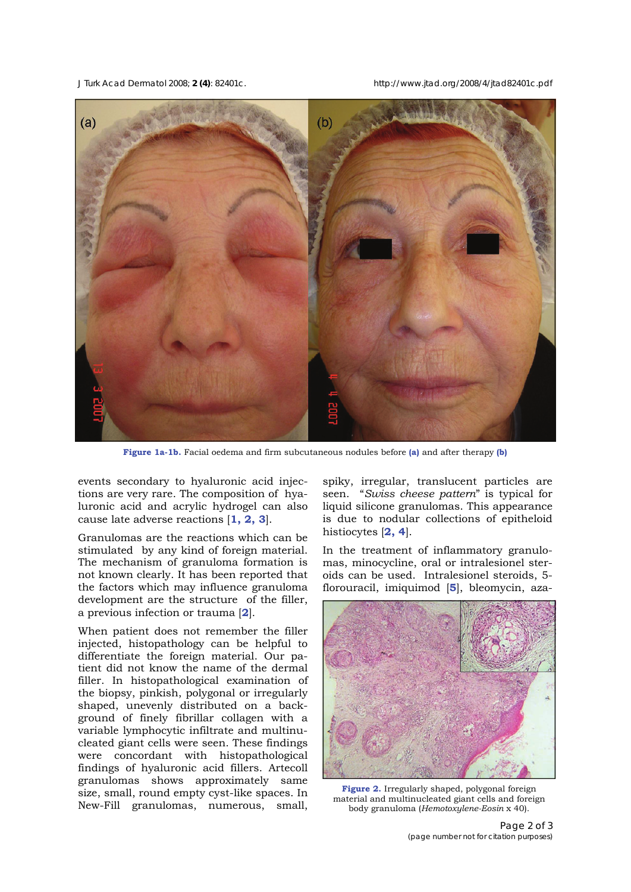*J Turk Acad Dermatol* 2008; **2 (4)**: 82401c. http://www.jtad.org/2008/4/jtad82401c.pdf



**Figure 1a-1b.** Facial oedema and firm subcutaneous nodules before **(a)** and after therapy **(b)**

events secondary to hyaluronic acid injections are very rare. The composition of hyaluronic acid and acrylic hydrogel can also cause late adverse reactions [**1, 2, 3**].

Granulomas are the reactions which can be stimulated by any kind of foreign material. The mechanism of granuloma formation is not known clearly. It has been reported that the factors which may influence granuloma development are the structure of the filler, a previous infection or trauma [**2**].

When patient does not remember the filler injected, histopathology can be helpful to differentiate the foreign material. Our patient did not know the name of the dermal filler. In histopathological examination of the biopsy, pinkish, polygonal or irregularly shaped, unevenly distributed on a background of finely fibrillar collagen with a variable lymphocytic infiltrate and multinucleated giant cells were seen. These findings were concordant with histopathological findings of hyaluronic acid fillers. Artecoll granulomas shows approximately same size, small, round empty cyst-like spaces. In New-Fill granulomas, numerous, small, spiky, irregular, translucent particles are seen. "*Swiss cheese pattern*" is typical for liquid silicone granulomas. This appearance is due to nodular collections of epitheloid histiocytes [**2, 4**].

In the treatment of inflammatory granulomas, minocycline, oral or intralesionel steroids can be used. Intralesionel steroids, 5 florouracil, imiquimod [**5**], bleomycin, aza-



**Figure 2.** Irregularly shaped, polygonal foreign material and multinucleated giant cells and foreign body granuloma (*Hemotoxylene-Eosin* x 40).